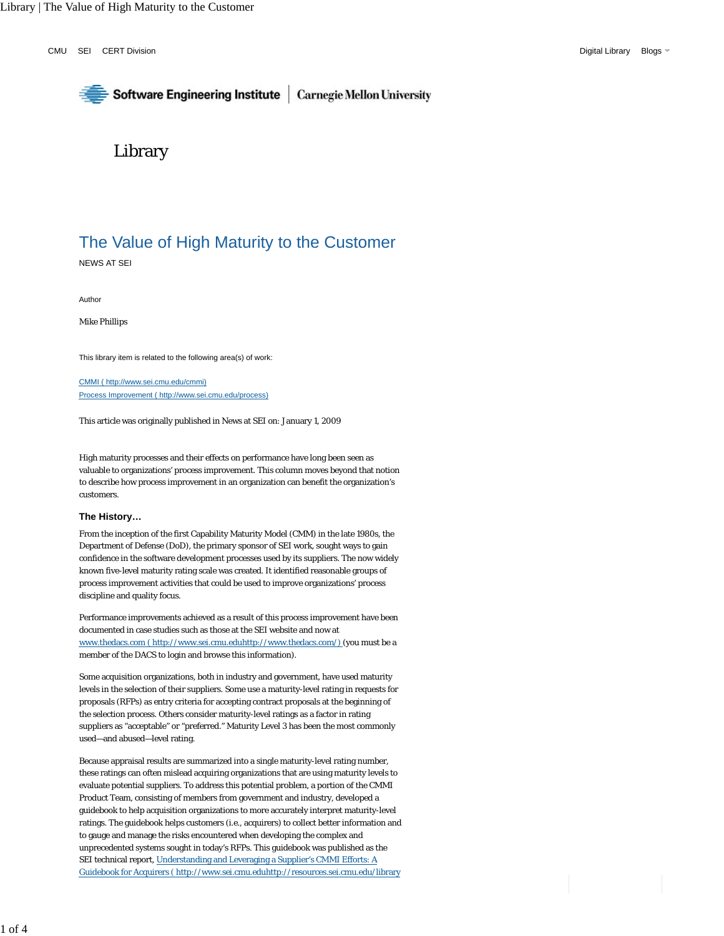CMU SEI CERT Division **Digital Library Blogs** CMU SEI CREATED AT A SUBSET OF DIGITAL Digital Library Blogs

# Software Engineering Institute | Carnegie Mellon University

# Library

# The Value of High Maturity to the Customer

NEWS AT SEI

Author

Mike Phillips

This library item is related to the following area(s) of work:

CMMI ( http://www.sei.cmu.edu/cmmi) Process Improvement ( http://www.sei.cmu.edu/process)

This article was originally published in News at SEI on: January 1, 2009

High maturity processes and their effects on performance have long been seen as valuable to organizations' process improvement. This column moves beyond that notion to describe how process improvement in an organization can benefit the organization's customers.

### **The History…**

From the inception of the first Capability Maturity Model (CMM) in the late 1980s, the Department of Defense (DoD), the primary sponsor of SEI work, sought ways to gain confidence in the software development processes used by its suppliers. The now widely known five-level maturity rating scale was created. It identified reasonable groups of process improvement activities that could be used to improve organizations' process discipline and quality focus.

Performance improvements achieved as a result of this process improvement have been documented in case studies such as those at the SEI website and now at www.thedacs.com ( http://www.sei.cmu.eduhttp://www.thedacs.com/) (you must be a member of the DACS to login and browse this information).

Some acquisition organizations, both in industry and government, have used maturity levels in the selection of their suppliers. Some use a maturity-level rating in requests for proposals (RFPs) as entry criteria for accepting contract proposals at the beginning of the selection process. Others consider maturity-level ratings as a factor in rating suppliers as "acceptable" or "preferred." Maturity Level 3 has been the most commonly used—and abused—level rating.

Because appraisal results are summarized into a single maturity-level rating number, these ratings can often mislead acquiring organizations that are using maturity levels to evaluate potential suppliers. To address this potential problem, a portion of the CMMI Product Team, consisting of members from government and industry, developed a guidebook to help acquisition organizations to more accurately interpret maturity-level ratings. The guidebook helps customers (i.e., acquirers) to collect better information and to gauge and manage the risks encountered when developing the complex and unprecedented systems sought in today's RFPs. This guidebook was published as the SEI technical report, Understanding and Leveraging a Supplier's CMMI Efforts: A Guidebook for Acquirers ( http://www.sei.cmu.eduhttp://resources.sei.cmu.edu/library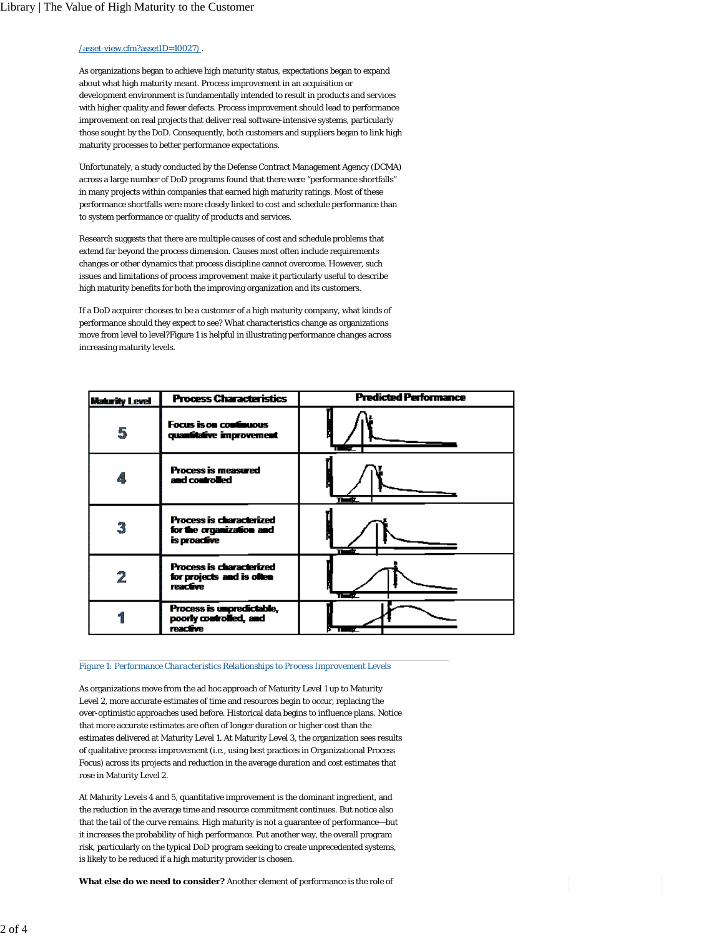# $\sqrt{\text{asset-view.cfm?assetID}}$ =10027)

As organizations began to achieve high maturity status, expectations began to expand about what high maturity meant. Process improvement in an acquisition or development environment is fundamentally intended to result in products and services with higher quality and fewer defects. Process improvement should lead to performance improvement on real projects that deliver real software-intensive systems, particularly those sought by the DoD. Consequently, both customers and suppliers began to link high maturity processes to better performance expectations.

Unfortunately, a study conducted by the Defense Contract Management Agency (DCMA) across a large number of DoD programs found that there were "performance shortfalls" in many projects within companies that earned high maturity ratings. Most of these performance shortfalls were more closely linked to cost and schedule performance than to system performance or quality of products and services.

Research suggests that there are multiple causes of cost and schedule problems that extend far beyond the process dimension. Causes most often include requirements changes or other dynamics that process discipline cannot overcome. However, such issues and limitations of process improvement make it particularly useful to describe high maturity benefits for both the improving organization and its customers.

If a DoD acquirer chooses to be a customer of a high maturity company, what kinds of performance should they expect to see? What characteristics change as organizations move from level to level?Figure 1 is helpful in illustrating performance changes across increasing maturity levels.

| <b>Maturity Level</b> | <b>Process Characteristics</b>                                                  | <b>Predicted Performance</b> |
|-----------------------|---------------------------------------------------------------------------------|------------------------------|
| 5                     | <b>Focus is on continuous</b><br>quantitative improvement                       |                              |
| 4                     | <b>Process is measured</b><br>and controlled                                    |                              |
| 3                     | <b>Process is characterized</b><br>for the organization and<br>is proactive     |                              |
| 2                     | <b>Process is characterized</b><br>for projects and is often<br><b>reactive</b> | ł                            |
|                       | Process is unpredictable,<br>poorly controlled, and<br><i>reactive</i>          |                              |

#### *Figure 1: Performance Characteristics Relationships to Process Improvement Levels*

As organizations move from the ad hoc approach of Maturity Level 1 up to Maturity Level 2, more accurate estimates of time and resources begin to occur, replacing the over-optimistic approaches used before. Historical data begins to influence plans. Notice that more accurate estimates are often of longer duration or higher cost than the estimates delivered at Maturity Level 1. At Maturity Level 3, the organization sees results of qualitative process improvement (i.e., using best practices in Organizational Process Focus) across its projects and reduction in the average duration and cost estimates that rose in Maturity Level 2.

At Maturity Levels 4 and 5, quantitative improvement is the dominant ingredient, and the reduction in the average time and resource commitment continues. But notice also that the tail of the curve remains. High maturity is not a guarantee of performance—but it increases the probability of high performance. Put another way, the overall program risk, particularly on the typical DoD program seeking to create unprecedented systems, is likely to be reduced if a high maturity provider is chosen.

**What else do we need to consider?** Another element of performance is the role of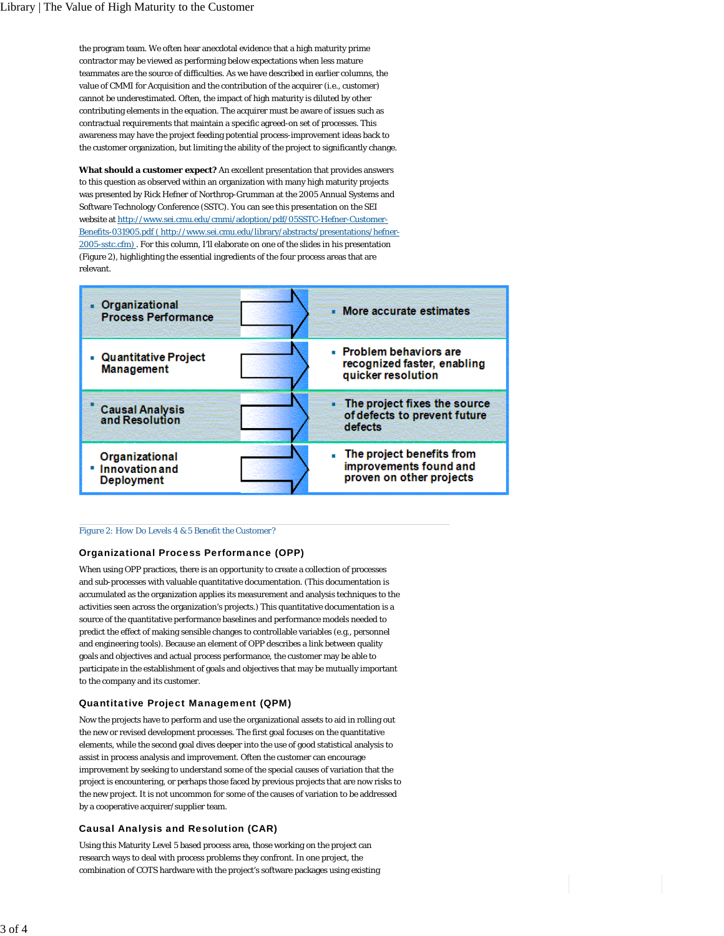the program team. We often hear anecdotal evidence that a high maturity prime contractor may be viewed as performing below expectations when less mature teammates are the source of difficulties. As we have described in earlier columns, the value of CMMI for Acquisition and the contribution of the acquirer (i.e., customer) cannot be underestimated. Often, the impact of high maturity is diluted by other contributing elements in the equation. The acquirer must be aware of issues such as contractual requirements that maintain a specific agreed-on set of processes. This awareness may have the project feeding potential process-improvement ideas back to the customer organization, but limiting the ability of the project to significantly change.

**What should a customer expect?** An excellent presentation that provides answers to this question as observed within an organization with many high maturity projects was presented by Rick Hefner of Northrop-Grumman at the 2005 Annual Systems and Software Technology Conference (SSTC). You can see this presentation on the SEI website at http://www.sei.cmu.edu/cmmi/adoption/pdf/05SSTC-Hefner-Customer-Benefits-031905.pdf ( http://www.sei.cmu.edu/library/abstracts/presentations/hefner-2005-sstc.cfm) . For this column, I'll elaborate on one of the slides in his presentation (Figure 2), highlighting the essential ingredients of the four process areas that are relevant.



## *Figure 2: How Do Levels 4 & 5 Benefit the Customer?*

# Organizational Process Performance (OPP)

When using OPP practices, there is an opportunity to create a collection of processes and sub-processes with valuable quantitative documentation. (This documentation is accumulated as the organization applies its measurement and analysis techniques to the activities seen across the organization's projects.) This quantitative documentation is a source of the quantitative performance baselines and performance models needed to predict the effect of making sensible changes to controllable variables (e.g., personnel and engineering tools). Because an element of OPP describes a link between quality goals and objectives and actual process performance, the customer may be able to participate in the establishment of goals and objectives that may be mutually important to the company and its customer.

# Quantitative Project Management (QPM)

Now the projects have to perform and use the organizational assets to aid in rolling out the new or revised development processes. The first goal focuses on the quantitative elements, while the second goal dives deeper into the use of good statistical analysis to assist in process analysis and improvement. Often the customer can encourage improvement by seeking to understand some of the special causes of variation that the project is encountering, or perhaps those faced by previous projects that are now risks to the new project. It is not uncommon for some of the causes of variation to be addressed by a cooperative acquirer/supplier team.

## Causal Analysis and Resolution (CAR)

Using this Maturity Level 5 based process area, those working on the project can research ways to deal with process problems they confront. In one project, the combination of COTS hardware with the project's software packages using existing